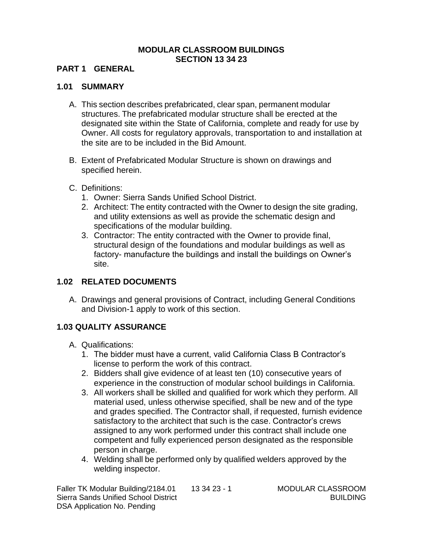#### **MODULAR CLASSROOM BUILDINGS SECTION 13 34 23**

#### **PART 1 GENERAL**

#### **1.01 SUMMARY**

- A. This section describes prefabricated, clear span, permanent modular structures. The prefabricated modular structure shall be erected at the designated site within the State of California, complete and ready for use by Owner. All costs for regulatory approvals, transportation to and installation at the site are to be included in the Bid Amount.
- B. Extent of Prefabricated Modular Structure is shown on drawings and specified herein.
- C. Definitions:
	- 1. Owner: Sierra Sands Unified School District.
	- 2. Architect: The entity contracted with the Owner to design the site grading, and utility extensions as well as provide the schematic design and specifications of the modular building.
	- 3. Contractor: The entity contracted with the Owner to provide final, structural design of the foundations and modular buildings as well as factory- manufacture the buildings and install the buildings on Owner's site.

## **1.02 RELATED DOCUMENTS**

A. Drawings and general provisions of Contract, including General Conditions and Division-1 apply to work of this section.

#### **1.03 QUALITY ASSURANCE**

- A. Qualifications:
	- 1. The bidder must have a current, valid California Class B Contractor's license to perform the work of this contract.
	- 2. Bidders shall give evidence of at least ten (10) consecutive years of experience in the construction of modular school buildings in California.
	- 3. All workers shall be skilled and qualified for work which they perform. All material used, unless otherwise specified, shall be new and of the type and grades specified. The Contractor shall, if requested, furnish evidence satisfactory to the architect that such is the case. Contractor's crews assigned to any work performed under this contract shall include one competent and fully experienced person designated as the responsible person in charge.
	- 4. Welding shall be performed only by qualified welders approved by the welding inspector.

Faller TK Modular Building/2184.01 13 34 23 - 1 MODULAR CLASSROOM Sierra Sands Unified School District **BUILDING** BUILDING DSA Application No. Pending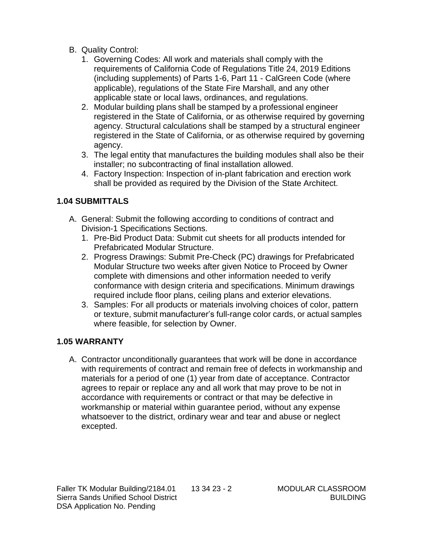- B. Quality Control:
	- 1. Governing Codes: All work and materials shall comply with the requirements of California Code of Regulations Title 24, 2019 Editions (including supplements) of Parts 1-6, Part 11 - CalGreen Code (where applicable), regulations of the State Fire Marshall, and any other applicable state or local laws, ordinances, and regulations.
	- 2. Modular building plans shall be stamped by a professional engineer registered in the State of California, or as otherwise required by governing agency. Structural calculations shall be stamped by a structural engineer registered in the State of California, or as otherwise required by governing agency.
	- 3. The legal entity that manufactures the building modules shall also be their installer; no subcontracting of final installation allowed.
	- 4. Factory Inspection: Inspection of in-plant fabrication and erection work shall be provided as required by the Division of the State Architect.

## **1.04 SUBMITTALS**

- A. General: Submit the following according to conditions of contract and Division-1 Specifications Sections.
	- 1. Pre-Bid Product Data: Submit cut sheets for all products intended for Prefabricated Modular Structure.
	- 2. Progress Drawings: Submit Pre-Check (PC) drawings for Prefabricated Modular Structure two weeks after given Notice to Proceed by Owner complete with dimensions and other information needed to verify conformance with design criteria and specifications. Minimum drawings required include floor plans, ceiling plans and exterior elevations.
	- 3. Samples: For all products or materials involving choices of color, pattern or texture, submit manufacturer's full-range color cards, or actual samples where feasible, for selection by Owner.

## **1.05 WARRANTY**

A. Contractor unconditionally guarantees that work will be done in accordance with requirements of contract and remain free of defects in workmanship and materials for a period of one (1) year from date of acceptance. Contractor agrees to repair or replace any and all work that may prove to be not in accordance with requirements or contract or that may be defective in workmanship or material within guarantee period, without any expense whatsoever to the district, ordinary wear and tear and abuse or neglect excepted.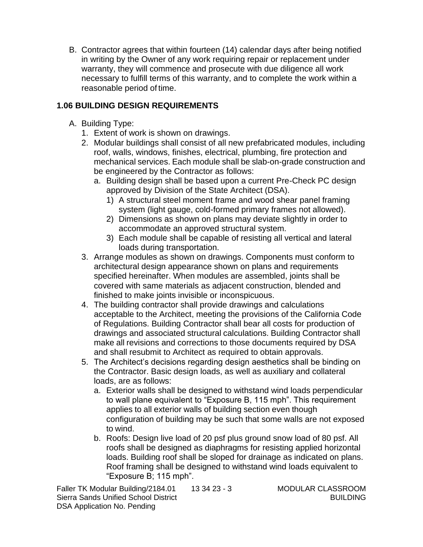B. Contractor agrees that within fourteen (14) calendar days after being notified in writing by the Owner of any work requiring repair or replacement under warranty, they will commence and prosecute with due diligence all work necessary to fulfill terms of this warranty, and to complete the work within a reasonable period of time.

#### **1.06 BUILDING DESIGN REQUIREMENTS**

- A. Building Type:
	- 1. Extent of work is shown on drawings.
	- 2. Modular buildings shall consist of all new prefabricated modules, including roof, walls, windows, finishes, electrical, plumbing, fire protection and mechanical services. Each module shall be slab-on-grade construction and be engineered by the Contractor as follows:
		- a. Building design shall be based upon a current Pre-Check PC design approved by Division of the State Architect (DSA).
			- 1) A structural steel moment frame and wood shear panel framing system (light gauge, cold-formed primary frames not allowed).
			- 2) Dimensions as shown on plans may deviate slightly in order to accommodate an approved structural system.
			- 3) Each module shall be capable of resisting all vertical and lateral loads during transportation.
	- 3. Arrange modules as shown on drawings. Components must conform to architectural design appearance shown on plans and requirements specified hereinafter. When modules are assembled, joints shall be covered with same materials as adjacent construction, blended and finished to make joints invisible or inconspicuous.
	- 4. The building contractor shall provide drawings and calculations acceptable to the Architect, meeting the provisions of the California Code of Regulations. Building Contractor shall bear all costs for production of drawings and associated structural calculations. Building Contractor shall make all revisions and corrections to those documents required by DSA and shall resubmit to Architect as required to obtain approvals.
	- 5. The Architect's decisions regarding design aesthetics shall be binding on the Contractor. Basic design loads, as well as auxiliary and collateral loads, are as follows:
		- a. Exterior walls shall be designed to withstand wind loads perpendicular to wall plane equivalent to "Exposure B, 115 mph". This requirement applies to all exterior walls of building section even though configuration of building may be such that some walls are not exposed to wind.
		- b. Roofs: Design live load of 20 psf plus ground snow load of 80 psf. All roofs shall be designed as diaphragms for resisting applied horizontal loads. Building roof shall be sloped for drainage as indicated on plans. Roof framing shall be designed to withstand wind loads equivalent to "Exposure B; 115 mph".

Faller TK Modular Building/2184.01 13 34 23 - 3 MODULAR CLASSROOM Sierra Sands Unified School District BUILDING BUILDING DSA Application No. Pending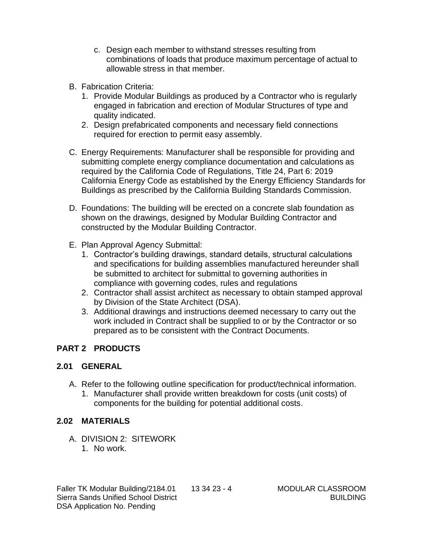- c. Design each member to withstand stresses resulting from combinations of loads that produce maximum percentage of actual to allowable stress in that member.
- B. Fabrication Criteria:
	- 1. Provide Modular Buildings as produced by a Contractor who is regularly engaged in fabrication and erection of Modular Structures of type and quality indicated.
	- 2. Design prefabricated components and necessary field connections required for erection to permit easy assembly.
- C. Energy Requirements: Manufacturer shall be responsible for providing and submitting complete energy compliance documentation and calculations as required by the California Code of Regulations, Title 24, Part 6: 2019 California Energy Code as established by the Energy Efficiency Standards for Buildings as prescribed by the California Building Standards Commission.
- D. Foundations: The building will be erected on a concrete slab foundation as shown on the drawings, designed by Modular Building Contractor and constructed by the Modular Building Contractor.
- E. Plan Approval Agency Submittal:
	- 1. Contractor's building drawings, standard details, structural calculations and specifications for building assemblies manufactured hereunder shall be submitted to architect for submittal to governing authorities in compliance with governing codes, rules and regulations
	- 2. Contractor shall assist architect as necessary to obtain stamped approval by Division of the State Architect (DSA).
	- 3. Additional drawings and instructions deemed necessary to carry out the work included in Contract shall be supplied to or by the Contractor or so prepared as to be consistent with the Contract Documents.

# **PART 2 PRODUCTS**

## **2.01 GENERAL**

- A. Refer to the following outline specification for product/technical information.
	- 1. Manufacturer shall provide written breakdown for costs (unit costs) of components for the building for potential additional costs.

## **2.02 MATERIALS**

- A. DIVISION 2: SITEWORK
	- 1. No work.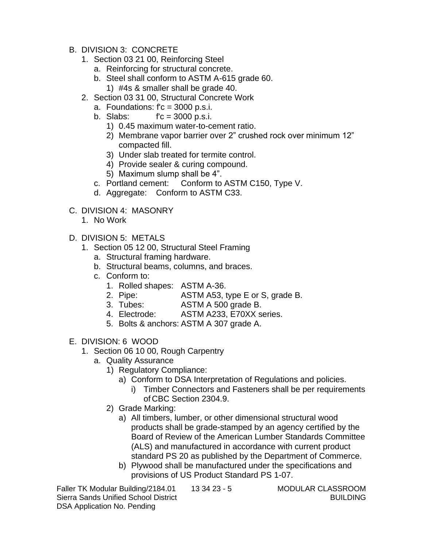- B. DIVISION 3: CONCRETE
	- 1. Section 03 21 00, Reinforcing Steel
		- a. Reinforcing for structural concrete.
		- b. Steel shall conform to ASTM A-615 grade 60. 1) #4s & smaller shall be grade 40.
	- 2. Section 03 31 00, Structural Concrete Work
		- a. Foundations:  $fc = 3000$  p.s.i.
		- b. Slabs: f'c = 3000 p.s.i.
			- 1) 0.45 maximum water-to-cement ratio.
			- 2) Membrane vapor barrier over 2" crushed rock over minimum 12" compacted fill.
			- 3) Under slab treated for termite control.
			- 4) Provide sealer & curing compound.
			- 5) Maximum slump shall be 4".
		- c. Portland cement: Conform to ASTM C150, Type V.
		- d. Aggregate: Conform to ASTM C33.
- C. DIVISION 4: MASONRY
	- 1. No Work
- D. DIVISION 5: METALS
	- 1. Section 05 12 00, Structural Steel Framing
		- a. Structural framing hardware.
		- b. Structural beams, columns, and braces.
		- c. Conform to:
			- 1. Rolled shapes: ASTM A-36.
			- 2. Pipe: ASTM A53, type E or S, grade B.
			- 3. Tubes: ASTM A 500 grade B.
			- 4. Electrode: ASTM A233, E70XX series.
			- 5. Bolts & anchors: ASTM A 307 grade A.
- E. DIVISION: 6 WOOD
	- 1. Section 06 10 00, Rough Carpentry
		- a. Quality Assurance
			- 1) Regulatory Compliance:
				- a) Conform to DSA Interpretation of Regulations and policies.
					- i) Timber Connectors and Fasteners shall be per requirements of CBC Section 2304.9.
			- 2) Grade Marking:
				- a) All timbers, lumber, or other dimensional structural wood products shall be grade-stamped by an agency certified by the Board of Review of the American Lumber Standards Committee (ALS) and manufactured in accordance with current product standard PS 20 as published by the Department of Commerce.
				- b) Plywood shall be manufactured under the specifications and provisions of US Product Standard PS 1-07.

Faller TK Modular Building/2184.01 13 34 23 - 5 MODULAR CLASSROOM Sierra Sands Unified School District BUILDING BUILDING DSA Application No. Pending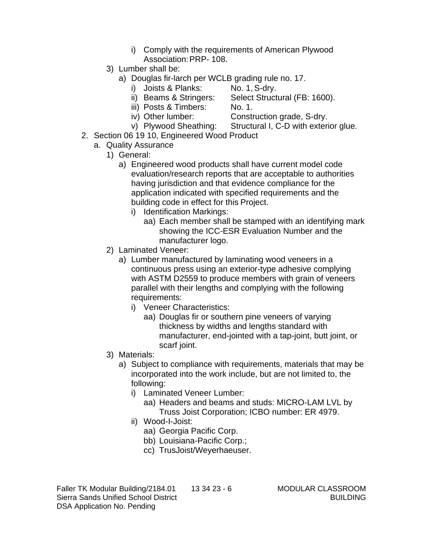- i) Comply with the requirements of American Plywood Association: PRP- 108.
- 3) Lumber shall be:
	- a) Douglas fir-larch per WCLB grading rule no. 17.
		- i) Joists & Planks: No. 1, S-dry.
		- ii) Beams & Stringers: Select Structural (FB: 1600).
		- iii) Posts & Timbers: No. 1.
			-
		- iv) Other lumber: Construction grade, S-dry.
- v) Plywood Sheathing: Structural I, C-D with exterior glue. 2. Section 06 19 10, Engineered Wood Product
	- a. Quality Assurance
		- 1) General:
			- a) Engineered wood products shall have current model code evaluation/research reports that are acceptable to authorities having jurisdiction and that evidence compliance for the application indicated with specified requirements and the building code in effect for this Project.
				- i) Identification Markings:
					- aa) Each member shall be stamped with an identifying mark showing the ICC-ESR Evaluation Number and the manufacturer logo.
		- 2) Laminated Veneer:
			- a) Lumber manufactured by laminating wood veneers in a continuous press using an exterior-type adhesive complying with ASTM D2559 to produce members with grain of veneers parallel with their lengths and complying with the following requirements:
				- i) Veneer Characteristics:
					- aa) Douglas fir or southern pine veneers of varying thickness by widths and lengths standard with manufacturer, end-jointed with a tap-joint, butt joint, or scarf joint.
		- 3) Materials:
			- a) Subject to compliance with requirements, materials that may be incorporated into the work include, but are not limited to, the following:
				- i) Laminated Veneer Lumber:
					- aa) Headers and beams and studs: MICRO-LAM LVL by Truss Joist Corporation; ICBO number: ER 4979.
				- ii) Wood-I-Joist:
					- aa) Georgia Pacific Corp.
					- bb) Louisiana-Pacific Corp.;
					- cc) TrusJoist/Weyerhaeuser.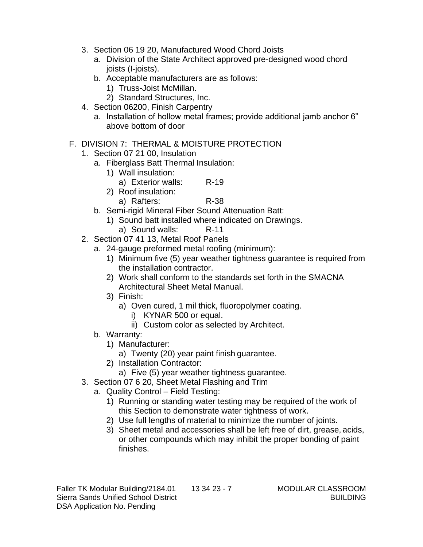- 3. Section 06 19 20, Manufactured Wood Chord Joists
	- a. Division of the State Architect approved pre-designed wood chord joists (I-joists).
	- b. Acceptable manufacturers are as follows:
		- 1) Truss-Joist McMillan.
		- 2) Standard Structures, Inc.
- 4. Section 06200, Finish Carpentry
	- a. Installation of hollow metal frames; provide additional jamb anchor 6" above bottom of door
- F. DIVISION 7: THERMAL & MOISTURE PROTECTION
	- 1. Section 07 21 00, Insulation
		- a. Fiberglass Batt Thermal Insulation:
			- 1) Wall insulation:
				- a) Exterior walls: R-19
			- 2) Roof insulation:
				- a) Rafters: R-38
		- b. Semi-rigid Mineral Fiber Sound Attenuation Batt:
			- 1) Sound batt installed where indicated on Drawings.
				- a) Sound walls: R-11
	- 2. Section 07 41 13, Metal Roof Panels
		- a. 24-gauge preformed metal roofing (minimum):
			- 1) Minimum five (5) year weather tightness guarantee is required from the installation contractor.
			- 2) Work shall conform to the standards set forth in the SMACNA Architectural Sheet Metal Manual.
			- 3) Finish:
				- a) Oven cured, 1 mil thick, fluoropolymer coating.
					- i) KYNAR 500 or equal.
					- ii) Custom color as selected by Architect.
		- b. Warranty:
			- 1) Manufacturer:
				- a) Twenty (20) year paint finish guarantee.
			- 2) Installation Contractor:
				- a) Five (5) year weather tightness guarantee.
	- 3. Section 07 6 20, Sheet Metal Flashing and Trim
		- a. Quality Control Field Testing:
			- 1) Running or standing water testing may be required of the work of this Section to demonstrate water tightness of work.
			- 2) Use full lengths of material to minimize the number of joints.
			- 3) Sheet metal and accessories shall be left free of dirt, grease, acids, or other compounds which may inhibit the proper bonding of paint finishes.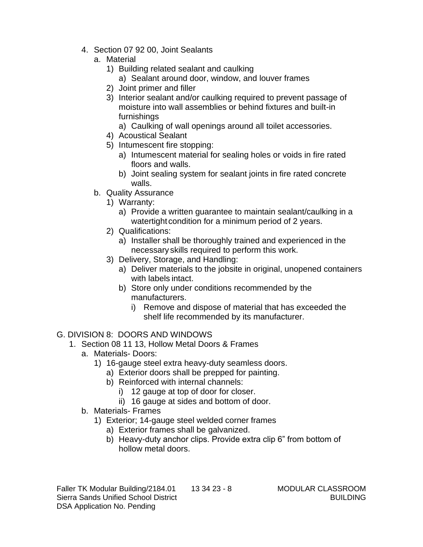- 4. Section 07 92 00, Joint Sealants
	- a. Material
		- 1) Building related sealant and caulking
			- a) Sealant around door, window, and louver frames
		- 2) Joint primer and filler
		- 3) Interior sealant and/or caulking required to prevent passage of moisture into wall assemblies or behind fixtures and built-in furnishings
			- a) Caulking of wall openings around all toilet accessories.
		- 4) Acoustical Sealant
		- 5) Intumescent fire stopping:
			- a) Intumescent material for sealing holes or voids in fire rated floors and walls.
			- b) Joint sealing system for sealant joints in fire rated concrete walls.
	- b. Quality Assurance
		- 1) Warranty:
			- a) Provide a written guarantee to maintain sealant/caulking in a watertight condition for a minimum period of 2 years.
		- 2) Qualifications:
			- a) Installer shall be thoroughly trained and experienced in the necessary skills required to perform this work.
		- 3) Delivery, Storage, and Handling:
			- a) Deliver materials to the jobsite in original, unopened containers with labels intact.
			- b) Store only under conditions recommended by the manufacturers.
				- i) Remove and dispose of material that has exceeded the shelf life recommended by its manufacturer.

# G. DIVISION 8: DOORS AND WINDOWS

- 1. Section 08 11 13, Hollow Metal Doors & Frames
	- a. Materials- Doors:
		- 1) 16-gauge steel extra heavy-duty seamless doors.
			- a) Exterior doors shall be prepped for painting.
			- b) Reinforced with internal channels:
				- i) 12 gauge at top of door for closer.
				- ii) 16 gauge at sides and bottom of door.
	- b. Materials- Frames
		- 1) Exterior; 14-gauge steel welded corner frames
			- a) Exterior frames shall be galvanized.
			- b) Heavy-duty anchor clips. Provide extra clip 6" from bottom of hollow metal doors.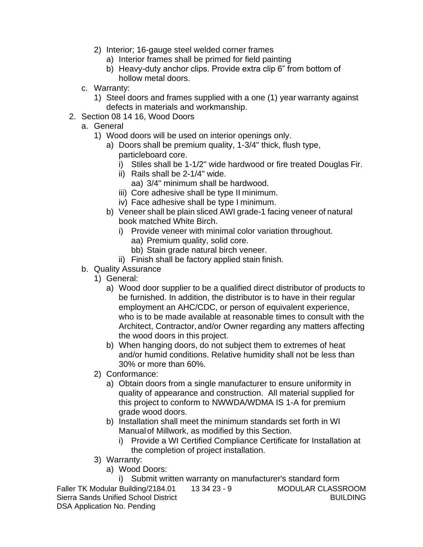- 2) Interior; 16-gauge steel welded corner frames
	- a) Interior frames shall be primed for field painting
	- b) Heavy-duty anchor clips. Provide extra clip 6" from bottom of hollow metal doors.
- c. Warranty:
	- 1) Steel doors and frames supplied with a one (1) year warranty against defects in materials and workmanship.
- 2. Section 08 14 16, Wood Doors
	- a. General
		- 1) Wood doors will be used on interior openings only.
			- a) Doors shall be premium quality, 1-3/4" thick, flush type, particleboard core.
				- i) Stiles shall be 1-1/2" wide hardwood or fire treated Douglas Fir.
				- ii) Rails shall be 2-1/4" wide.
					- aa) 3/4" minimum shall be hardwood.
				- iii) Core adhesive shall be type II minimum.
				- iv) Face adhesive shall be type I minimum.
			- b) Veneer shall be plain sliced AWI grade-1 facing veneer of natural book matched White Birch.
				- i) Provide veneer with minimal color variation throughout.
					- aa) Premium quality, solid core.
					- bb) Stain grade natural birch veneer.
				- ii) Finish shall be factory applied stain finish.
	- b. Quality Assurance
		- 1) General:
			- a) Wood door supplier to be a qualified direct distributor of products to be furnished. In addition, the distributor is to have in their regular employment an AHC/CDC, or person of equivalent experience, who is to be made available at reasonable times to consult with the Architect, Contractor,and/or Owner regarding any matters affecting the wood doors in this project.
			- b) When hanging doors, do not subject them to extremes of heat and/or humid conditions. Relative humidity shall not be less than 30% or more than 60%.
		- 2) Conformance:
			- a) Obtain doors from a single manufacturer to ensure uniformity in quality of appearance and construction. All material supplied for this project to conform to NWWDA/WDMA IS 1-A for premium grade wood doors.
			- b) Installation shall meet the minimum standards set forth in WI Manualof Millwork, as modified by this Section.
				- i) Provide a WI Certified Compliance Certificate for Installation at the completion of project installation.
		- 3) Warranty:
			- a) Wood Doors:

Faller TK Modular Building/2184.01 13 34 23 - 9 MODULAR CLASSROOM Sierra Sands Unified School District **BUILDING** BUILDING DSA Application No. Pending i) Submit written warranty on manufacturer's standard form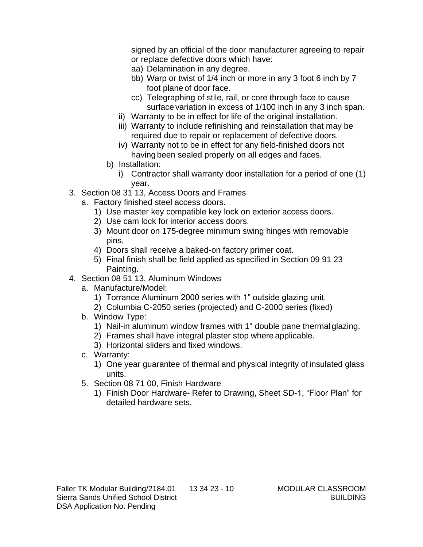signed by an official of the door manufacturer agreeing to repair or replace defective doors which have:

- aa) Delamination in any degree.
- bb) Warp or twist of 1/4 inch or more in any 3 foot 6 inch by 7 foot plane of door face.
- cc) Telegraphing of stile, rail, or core through face to cause surface variation in excess of 1/100 inch in any 3 inch span.
- ii) Warranty to be in effect for life of the original installation.
- iii) Warranty to include refinishing and reinstallation that may be required due to repair or replacement of defective doors.
- iv) Warranty not to be in effect for any field-finished doors not having been sealed properly on all edges and faces.
- b) Installation:
	- i) Contractor shall warranty door installation for a period of one (1) year.
- 3. Section 08 31 13, Access Doors and Frames
	- a. Factory finished steel access doors.
		- 1) Use master key compatible key lock on exterior access doors.
		- 2) Use cam lock for interior access doors.
		- 3) Mount door on 175-degree minimum swing hinges with removable pins.
		- 4) Doors shall receive a baked-on factory primer coat.
		- 5) Final finish shall be field applied as specified in Section 09 91 23 Painting.
- 4. Section 08 51 13, Aluminum Windows
	- a. Manufacture/Model:
		- 1) Torrance Aluminum 2000 series with 1" outside glazing unit.
		- 2) Columbia C-2050 series (projected) and C-2000 series (fixed)
	- b. Window Type:
		- 1) Nail-in aluminum window frames with 1" double pane thermal glazing.
		- 2) Frames shall have integral plaster stop where applicable.
		- 3) Horizontal sliders and fixed windows.
	- c. Warranty:
		- 1) One year guarantee of thermal and physical integrity of insulated glass units.
	- 5. Section 08 71 00, Finish Hardware
		- 1) Finish Door Hardware- Refer to Drawing, Sheet SD-1, "Floor Plan" for detailed hardware sets.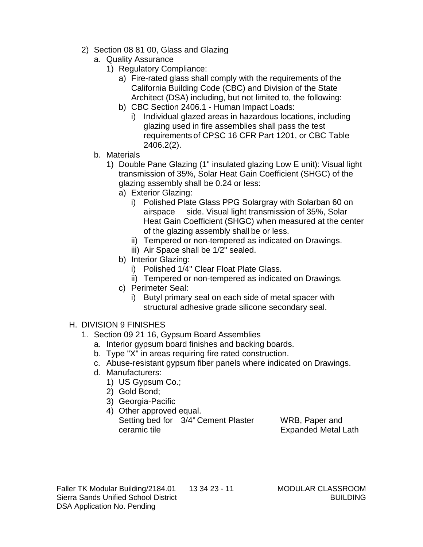- 2) Section 08 81 00, Glass and Glazing
	- a. Quality Assurance
		- 1) Regulatory Compliance:
			- a) Fire-rated glass shall comply with the requirements of the California Building Code (CBC) and Division of the State Architect (DSA) including, but not limited to, the following:
			- b) CBC Section 2406.1 Human Impact Loads:
				- i) Individual glazed areas in hazardous locations, including glazing used in fire assemblies shall pass the test requirements of CPSC 16 CFR Part 1201, or CBC Table 2406.2(2).
	- b. Materials
		- 1) Double Pane Glazing (1" insulated glazing Low E unit): Visual light transmission of 35%, Solar Heat Gain Coefficient (SHGC) of the glazing assembly shall be 0.24 or less:
			- a) Exterior Glazing:
				- i) Polished Plate Glass PPG Solargray with Solarban 60 on airspace side. Visual light transmission of 35%, Solar Heat Gain Coefficient (SHGC) when measured at the center of the glazing assembly shall be or less.
				- ii) Tempered or non-tempered as indicated on Drawings.
				- iii) Air Space shall be 1/2" sealed.
			- b) Interior Glazing:
				- i) Polished 1/4" Clear Float Plate Glass.
				- ii) Tempered or non-tempered as indicated on Drawings.
			- c) Perimeter Seal:
				- i) Butyl primary seal on each side of metal spacer with structural adhesive grade silicone secondary seal.
- H. DIVISION 9 FINISHES
	- 1. Section 09 21 16, Gypsum Board Assemblies
		- a. Interior gypsum board finishes and backing boards.
		- b. Type "X" in areas requiring fire rated construction.
		- c. Abuse-resistant gypsum fiber panels where indicated on Drawings.
		- d. Manufacturers:
			- 1) US Gypsum Co.;
			- 2) Gold Bond;
			- 3) Georgia-Pacific
			- 4) Other approved equal. Setting bed for 3/4" Cement Plaster WRB, Paper and ceramic tile **Expanded Metal Lath**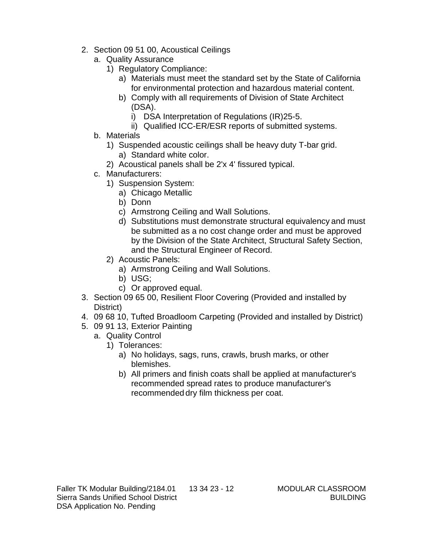- 2. Section 09 51 00, Acoustical Ceilings
	- a. Quality Assurance
		- 1) Regulatory Compliance:
			- a) Materials must meet the standard set by the State of California for environmental protection and hazardous material content.
			- b) Comply with all requirements of Division of State Architect (DSA).
				- i) DSA Interpretation of Regulations (IR)25-5.
				- ii) Qualified ICC-ER/ESR reports of submitted systems.
	- b. Materials
		- 1) Suspended acoustic ceilings shall be heavy duty T-bar grid.
			- a) Standard white color.
		- 2) Acoustical panels shall be 2'x 4' fissured typical.
	- c. Manufacturers:
		- 1) Suspension System:
			- a) Chicago Metallic
			- b) Donn
			- c) Armstrong Ceiling and Wall Solutions.
			- d) Substitutions must demonstrate structural equivalency and must be submitted as a no cost change order and must be approved by the Division of the State Architect, Structural Safety Section, and the Structural Engineer of Record.
		- 2) Acoustic Panels:
			- a) Armstrong Ceiling and Wall Solutions.
			- b) USG;
			- c) Or approved equal.
- 3. Section 09 65 00, Resilient Floor Covering (Provided and installed by District)
- 4. 09 68 10, Tufted Broadloom Carpeting (Provided and installed by District)
- 5. 09 91 13, Exterior Painting
	- a. Quality Control
		- 1) Tolerances:
			- a) No holidays, sags, runs, crawls, brush marks, or other blemishes.
			- b) All primers and finish coats shall be applied at manufacturer's recommended spread rates to produce manufacturer's recommended dry film thickness per coat.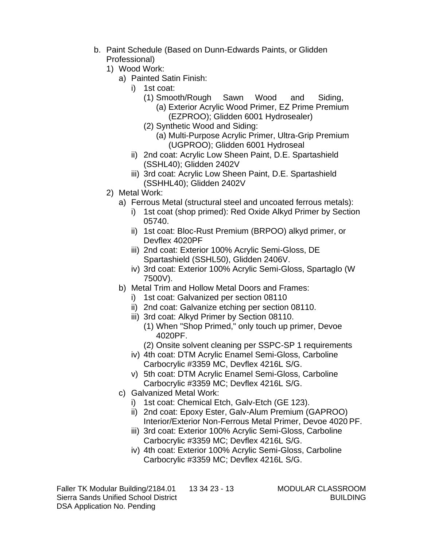- b. Paint Schedule (Based on Dunn-Edwards Paints, or Glidden Professional)
	- 1) Wood Work:
		- a) Painted Satin Finish:
			- i) 1st coat:
				- (1) Smooth/Rough Sawn Wood and Siding, (a) Exterior Acrylic Wood Primer, EZ Prime Premium (EZPROO); Glidden 6001 Hydrosealer)
				- (2) Synthetic Wood and Siding:
					- (a) Multi-Purpose Acrylic Primer, Ultra-Grip Premium (UGPROO); Glidden 6001 Hydroseal
			- ii) 2nd coat: Acrylic Low Sheen Paint, D.E. Spartashield (SSHL40); Glidden 2402V
			- iii) 3rd coat: Acrylic Low Sheen Paint, D.E. Spartashield (SSHHL40); Glidden 2402V
	- 2) Metal Work:
		- a) Ferrous Metal (structural steel and uncoated ferrous metals):
			- i) 1st coat (shop primed): Red Oxide Alkyd Primer by Section 05740.
			- ii) 1st coat: Bloc-Rust Premium (BRPOO) alkyd primer, or Devflex 4020PF
			- iii) 2nd coat: Exterior 100% Acrylic Semi-Gloss, DE Spartashield (SSHL50), Glidden 2406V.
			- iv) 3rd coat: Exterior 100% Acrylic Semi-Gloss, Spartaglo (W 7500V).
		- b) Metal Trim and Hollow Metal Doors and Frames:
			- i) 1st coat: Galvanized per section 08110
			- ii) 2nd coat: Galvanize etching per section 08110.
			- iii) 3rd coat: Alkyd Primer by Section 08110.
				- (1) When "Shop Primed," only touch up primer, Devoe 4020PF.
				- (2) Onsite solvent cleaning per SSPC-SP 1 requirements
			- iv) 4th coat: DTM Acrylic Enamel Semi-Gloss, Carboline Carbocrylic #3359 MC, Devflex 4216L S/G.
			- v) 5th coat: DTM Acrylic Enamel Semi-Gloss, Carboline Carbocrylic #3359 MC; Devflex 4216L S/G.
		- c) Galvanized Metal Work:
			- i) 1st coat: Chemical Etch, Galv-Etch (GE 123).
			- ii) 2nd coat: Epoxy Ester, Galv-Alum Premium (GAPROO) Interior/Exterior Non-Ferrous Metal Primer, Devoe 4020 PF.
			- iii) 3rd coat: Exterior 100% Acrylic Semi-Gloss, Carboline Carbocrylic #3359 MC; Devflex 4216L S/G.
			- iv) 4th coat: Exterior 100% Acrylic Semi-Gloss, Carboline Carbocrylic #3359 MC; Devflex 4216L S/G.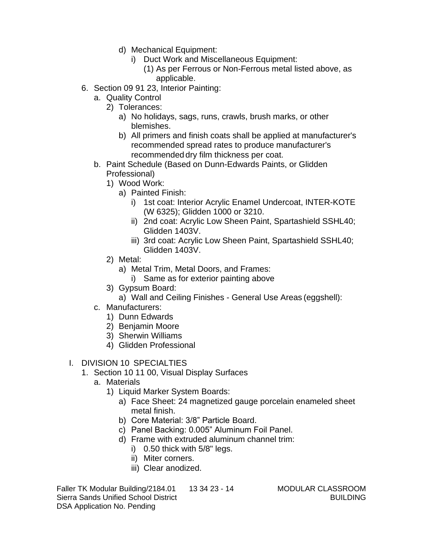- d) Mechanical Equipment:
	- i) Duct Work and Miscellaneous Equipment:
		- (1) As per Ferrous or Non-Ferrous metal listed above, as applicable.
- 6. Section 09 91 23, Interior Painting:
	- a. Quality Control
		- 2) Tolerances:
			- a) No holidays, sags, runs, crawls, brush marks, or other blemishes.
			- b) All primers and finish coats shall be applied at manufacturer's recommended spread rates to produce manufacturer's recommended dry film thickness per coat.
	- b. Paint Schedule (Based on Dunn-Edwards Paints, or Glidden Professional)
		- 1) Wood Work:
			- a) Painted Finish:
				- i) 1st coat: Interior Acrylic Enamel Undercoat, INTER-KOTE (W 6325); Glidden 1000 or 3210.
				- ii) 2nd coat: Acrylic Low Sheen Paint, Spartashield SSHL40; Glidden 1403V.
				- iii) 3rd coat: Acrylic Low Sheen Paint, Spartashield SSHL40; Glidden 1403V.
		- 2) Metal:
			- a) Metal Trim, Metal Doors, and Frames:
				- i) Same as for exterior painting above
		- 3) Gypsum Board:
			- a) Wall and Ceiling Finishes General Use Areas (eggshell):
	- c. Manufacturers:
		- 1) Dunn Edwards
		- 2) Benjamin Moore
		- 3) Sherwin Williams
		- 4) Glidden Professional
- I. DIVISION 10 SPECIALTIES
	- 1. Section 10 11 00, Visual Display Surfaces
		- a. Materials
			- 1) Liquid Marker System Boards:
				- a) Face Sheet: 24 magnetized gauge porcelain enameled sheet metal finish.
				- b) Core Material: 3/8" Particle Board.
				- c) Panel Backing: 0.005" Aluminum Foil Panel.
				- d) Frame with extruded aluminum channel trim:
					- i) 0.50 thick with 5/8" legs.
					- ii) Miter corners.
					- iii) Clear anodized.

Faller TK Modular Building/2184.01 13 34 23 - 14 MODULAR CLASSROOM Sierra Sands Unified School District BUILDING BUILDING DSA Application No. Pending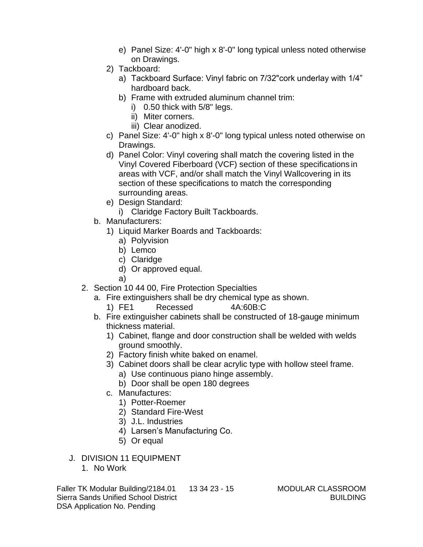- e) Panel Size: 4'-0" high x 8'-0" long typical unless noted otherwise on Drawings.
- 2) Tackboard:
	- a) Tackboard Surface: Vinyl fabric on 7/32"cork underlay with 1/4" hardboard back.
	- b) Frame with extruded aluminum channel trim:
		- i) 0.50 thick with 5/8" legs.
		- ii) Miter corners.
		- iii) Clear anodized.
- c) Panel Size: 4'-0" high x 8'-0" long typical unless noted otherwise on Drawings.
- d) Panel Color: Vinyl covering shall match the covering listed in the Vinyl Covered Fiberboard (VCF) section of these specifications in areas with VCF, and/or shall match the Vinyl Wallcovering in its section of these specifications to match the corresponding surrounding areas.
- e) Design Standard:
	- i) Claridge Factory Built Tackboards.
- b. Manufacturers:
	- 1) Liquid Marker Boards and Tackboards:
		- a) Polyvision
		- b) Lemco
		- c) Claridge
		- d) Or approved equal.
		- a)
- 2. Section 10 44 00, Fire Protection Specialties
	- a. Fire extinguishers shall be dry chemical type as shown.

#### 1) FE1 Recessed 4A:60B:C

- b. Fire extinguisher cabinets shall be constructed of 18-gauge minimum thickness material.
	- 1) Cabinet, flange and door construction shall be welded with welds ground smoothly.
	- 2) Factory finish white baked on enamel.
	- 3) Cabinet doors shall be clear acrylic type with hollow steel frame.
		- a) Use continuous piano hinge assembly.
		- b) Door shall be open 180 degrees
	- c. Manufactures:
		- 1) Potter-Roemer
		- 2) Standard Fire-West
		- 3) J.L. Industries
		- 4) Larsen's Manufacturing Co.
		- 5) Or equal
- J. DIVISION 11 EQUIPMENT 1. No Work

Faller TK Modular Building/2184.01 13 34 23 - 15 MODULAR CLASSROOM Sierra Sands Unified School District BUILDING BUILDING DSA Application No. Pending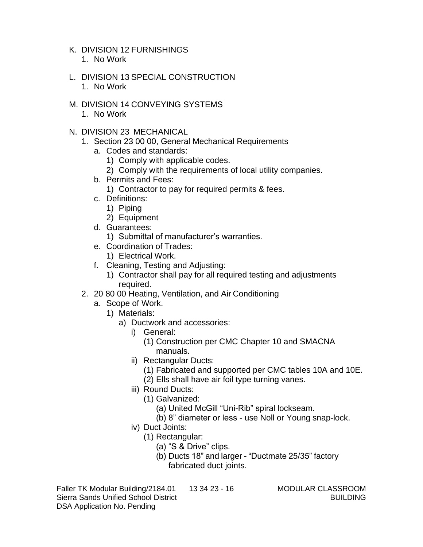K. DIVISION 12 FURNISHINGS

- 1. No Work
- L. DIVISION 13 SPECIAL CONSTRUCTION 1. No Work
- M. DIVISION 14 CONVEYING SYSTEMS
	- 1. No Work
- N. DIVISION 23 MECHANICAL
	- 1. Section 23 00 00, General Mechanical Requirements
		- a. Codes and standards:
			- 1) Comply with applicable codes.
			- 2) Comply with the requirements of local utility companies.
		- b. Permits and Fees:
			- 1) Contractor to pay for required permits & fees.
		- c. Definitions:
			- 1) Piping
			- 2) Equipment
		- d. Guarantees:
			- 1) Submittal of manufacturer's warranties.
		- e. Coordination of Trades:
			- 1) Electrical Work.
		- f. Cleaning, Testing and Adjusting:
			- 1) Contractor shall pay for all required testing and adjustments required.
	- 2. 20 80 00 Heating, Ventilation, and Air Conditioning
		- a. Scope of Work.
			- 1) Materials:
				- a) Ductwork and accessories:
					- i) General:
						- (1) Construction per CMC Chapter 10 and SMACNA manuals.
					- ii) Rectangular Ducts:
						- (1) Fabricated and supported per CMC tables 10A and 10E.
						- (2) Ells shall have air foil type turning vanes.
					- iii) Round Ducts:
						- (1) Galvanized:
							- (a) United McGill "Uni-Rib" spiral lockseam.
							- (b) 8" diameter or less use Noll or Young snap-lock.
					- iv) Duct Joints:
						- (1) Rectangular:
							- (a) "S & Drive" clips.
							- (b) Ducts 18" and larger "Ductmate 25/35" factory fabricated duct joints.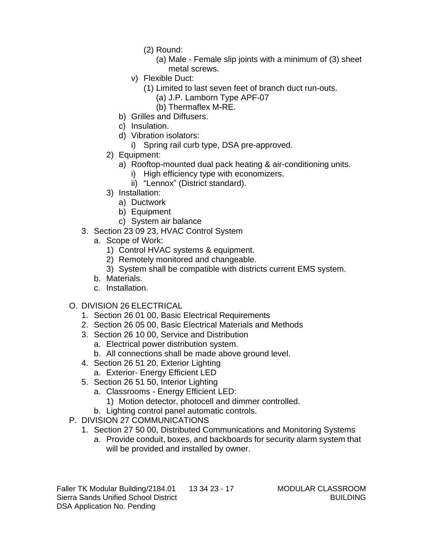- (2) Round:
	- (a) Male Female slip joints with a minimum of (3) sheet metal screws.
- v) Flexible Duct:
	- (1) Limited to last seven feet of branch duct run-outs.
		- (a) J.P. Lamborn Type APF-07
		- (b) Thermaflex M-RE.
- b) Grilles and Diffusers.
- c) Insulation.
- d) Vibration isolators:
	- i) Spring rail curb type, DSA pre-approved.
- 2) Equipment:
	- a) Rooftop-mounted dual pack heating & air-conditioning units.
		- i) High efficiency type with economizers.
		- ii) "Lennox" (District standard).
- 3) Installation:
	- a) Ductwork
	- b) Equipment
	- c) System air balance
- 3. Section 23 09 23, HVAC Control System
	- a. Scope of Work:
		- 1) Control HVAC systems & equipment.
		- 2) Remotely monitored and changeable.
		- 3) System shall be compatible with districts current EMS system.
	- b. Materials.
	- c. Installation.
- O. DIVISION 26 ELECTRICAL
	- 1. Section 26 01 00, Basic Electrical Requirements
	- 2. Section 26 05 00, Basic Electrical Materials and Methods
	- 3. Section 26 10 00, Service and Distribution
		- a. Electrical power distribution system.
		- b. All connections shall be made above ground level.
	- 4. Section 26 51 20, Exterior Lighting a. Exterior- Energy Efficient LED
	-
	- 5. Section 26 51 50, Interior Lighting
		- a. Classrooms Energy Efficient LED:
			- 1) Motion detector, photocell and dimmer controlled.
		- b. Lighting control panel automatic controls.
- P. DIVISION 27 COMMUNICATIONS
	- 1. Section 27 50 00, Distributed Communications and Monitoring Systems
		- a. Provide conduit, boxes, and backboards for security alarm system that will be provided and installed by owner.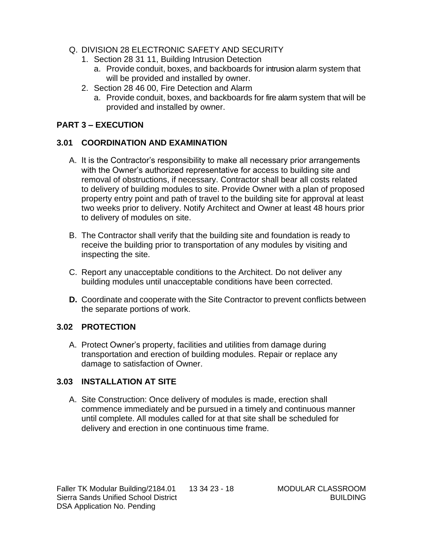- Q. DIVISION 28 ELECTRONIC SAFETY AND SECURITY
	- 1. Section 28 31 11, Building Intrusion Detection
		- a. Provide conduit, boxes, and backboards for intrusion alarm system that will be provided and installed by owner.
	- 2. Section 28 46 00, Fire Detection and Alarm
		- a. Provide conduit, boxes, and backboards for fire alarm system that will be provided and installed by owner.

## **PART 3 – EXECUTION**

## **3.01 COORDINATION AND EXAMINATION**

- A. It is the Contractor's responsibility to make all necessary prior arrangements with the Owner's authorized representative for access to building site and removal of obstructions, if necessary. Contractor shall bear all costs related to delivery of building modules to site. Provide Owner with a plan of proposed property entry point and path of travel to the building site for approval at least two weeks prior to delivery. Notify Architect and Owner at least 48 hours prior to delivery of modules on site.
- B. The Contractor shall verify that the building site and foundation is ready to receive the building prior to transportation of any modules by visiting and inspecting the site.
- C. Report any unacceptable conditions to the Architect. Do not deliver any building modules until unacceptable conditions have been corrected.
- **D.** Coordinate and cooperate with the Site Contractor to prevent conflicts between the separate portions of work.

## **3.02 PROTECTION**

A. Protect Owner's property, facilities and utilities from damage during transportation and erection of building modules. Repair or replace any damage to satisfaction of Owner.

# **3.03 INSTALLATION AT SITE**

A. Site Construction: Once delivery of modules is made, erection shall commence immediately and be pursued in a timely and continuous manner until complete. All modules called for at that site shall be scheduled for delivery and erection in one continuous time frame.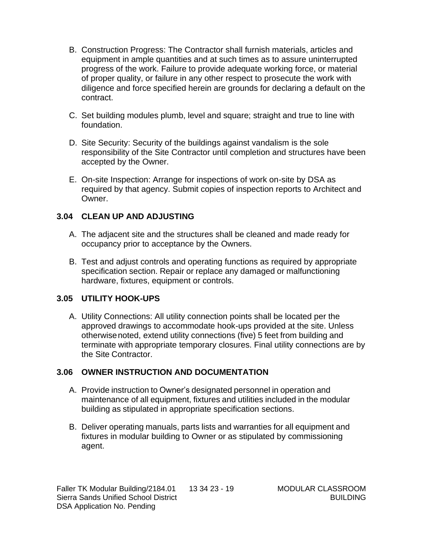- B. Construction Progress: The Contractor shall furnish materials, articles and equipment in ample quantities and at such times as to assure uninterrupted progress of the work. Failure to provide adequate working force, or material of proper quality, or failure in any other respect to prosecute the work with diligence and force specified herein are grounds for declaring a default on the contract.
- C. Set building modules plumb, level and square; straight and true to line with foundation.
- D. Site Security: Security of the buildings against vandalism is the sole responsibility of the Site Contractor until completion and structures have been accepted by the Owner.
- E. On-site Inspection: Arrange for inspections of work on-site by DSA as required by that agency. Submit copies of inspection reports to Architect and Owner.

#### **3.04 CLEAN UP AND ADJUSTING**

- A. The adjacent site and the structures shall be cleaned and made ready for occupancy prior to acceptance by the Owners.
- B. Test and adjust controls and operating functions as required by appropriate specification section. Repair or replace any damaged or malfunctioning hardware, fixtures, equipment or controls.

## **3.05 UTILITY HOOK-UPS**

A. Utility Connections: All utility connection points shall be located per the approved drawings to accommodate hook-ups provided at the site. Unless otherwisenoted, extend utility connections (five) 5 feet from building and terminate with appropriate temporary closures. Final utility connections are by the Site Contractor.

## **3.06 OWNER INSTRUCTION AND DOCUMENTATION**

- A. Provide instruction to Owner's designated personnel in operation and maintenance of all equipment, fixtures and utilities included in the modular building as stipulated in appropriate specification sections.
- B. Deliver operating manuals, parts lists and warranties for all equipment and fixtures in modular building to Owner or as stipulated by commissioning agent.